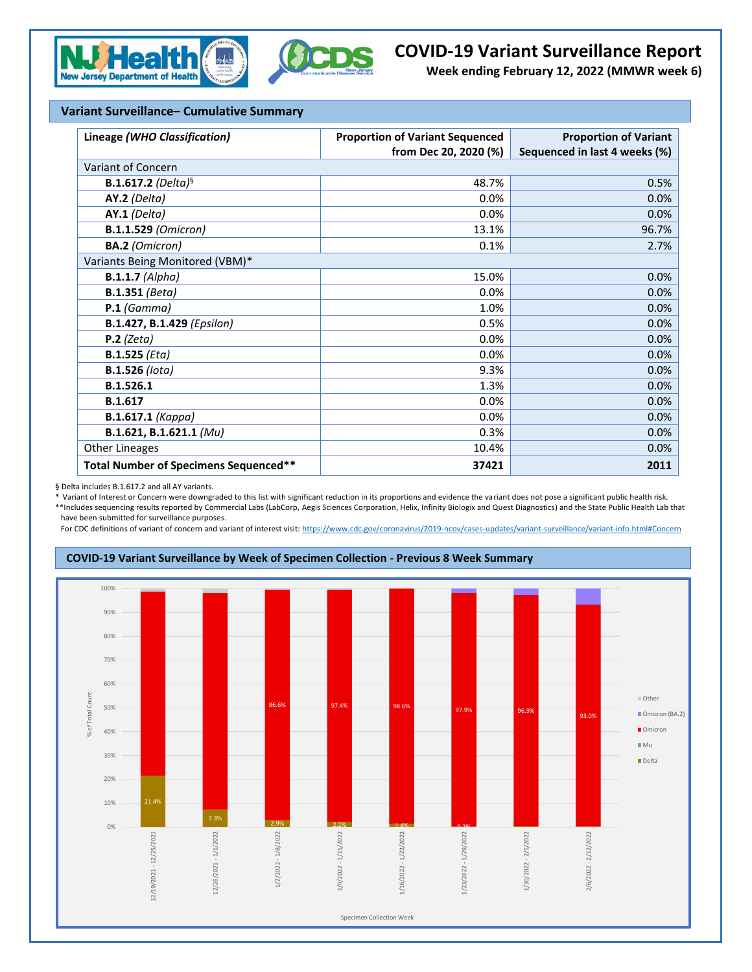



## **COVID-19 Variant Surveillance Report**

**Week ending February 12, 2022 (MMWR week 6)**

## **Variant Surveillance– Cumulative Summary**

| Lineage (WHO Classification)          | <b>Proportion of Variant Sequenced</b> | <b>Proportion of Variant</b>  |  |  |  |  |
|---------------------------------------|----------------------------------------|-------------------------------|--|--|--|--|
|                                       | from Dec 20, 2020 (%)                  | Sequenced in last 4 weeks (%) |  |  |  |  |
| Variant of Concern                    |                                        |                               |  |  |  |  |
| <b>B.1.617.2</b> (Delta) <sup>§</sup> | 48.7%                                  | 0.5%                          |  |  |  |  |
| AY.2 (Delta)                          | 0.0%                                   | 0.0%                          |  |  |  |  |
| AY.1 (Delta)                          | 0.0%                                   | 0.0%                          |  |  |  |  |
| <b>B.1.1.529 (Omicron)</b>            | 13.1%                                  | 96.7%                         |  |  |  |  |
| <b>BA.2</b> (Omicron)                 | 0.1%                                   | 2.7%                          |  |  |  |  |
| Variants Being Monitored (VBM)*       |                                        |                               |  |  |  |  |
| $B.1.1.7$ (Alpha)                     | 15.0%                                  | 0.0%                          |  |  |  |  |
| <b>B.1.351</b> (Beta)                 | 0.0%                                   | 0.0%                          |  |  |  |  |
| $P.1$ (Gamma)                         | 1.0%                                   | 0.0%                          |  |  |  |  |
| B.1.427, B.1.429 (Epsilon)            | 0.5%                                   | 0.0%                          |  |  |  |  |
| $P.2$ (Zeta)                          | 0.0%                                   | 0.0%                          |  |  |  |  |
| $B.1.525$ (Eta)                       | 0.0%                                   | 0.0%                          |  |  |  |  |
| <b>B.1.526</b> (lota)                 | 9.3%                                   | 0.0%                          |  |  |  |  |
| B.1.526.1                             | 1.3%                                   | 0.0%                          |  |  |  |  |
| B.1.617                               | 0.0%                                   | 0.0%                          |  |  |  |  |
| <b>B.1.617.1 (Kappa)</b>              | 0.0%                                   | 0.0%                          |  |  |  |  |
| B.1.621, B.1.621.1 (Mu)               | 0.3%                                   | 0.0%                          |  |  |  |  |
| <b>Other Lineages</b>                 | 10.4%                                  | 0.0%                          |  |  |  |  |
| Total Number of Specimens Sequenced** | 37421                                  | 2011                          |  |  |  |  |

§ Delta includes B.1.617.2 and all AY variants.

\* Variant of Interest or Concern were downgraded to this list with significant reduction in its proportions and evidence the variant does not pose a significant public health risk. \*\*Includes sequencing results reported by Commercial Labs (LabCorp, Aegis Sciences Corporation, Helix, Infinity Biologix and Quest Diagnostics) and the State Public Health Lab that have been submitted for surveillance purposes.

For CDC definitions of variant of concern and variant of interest visit[: https://www.cdc.gov/coronavirus/2019-ncov/cases-updates/variant-surveillance/variant-info.html#Concern](https://www.cdc.gov/coronavirus/2019-ncov/cases-updates/variant-surveillance/variant-info.html#Concern)

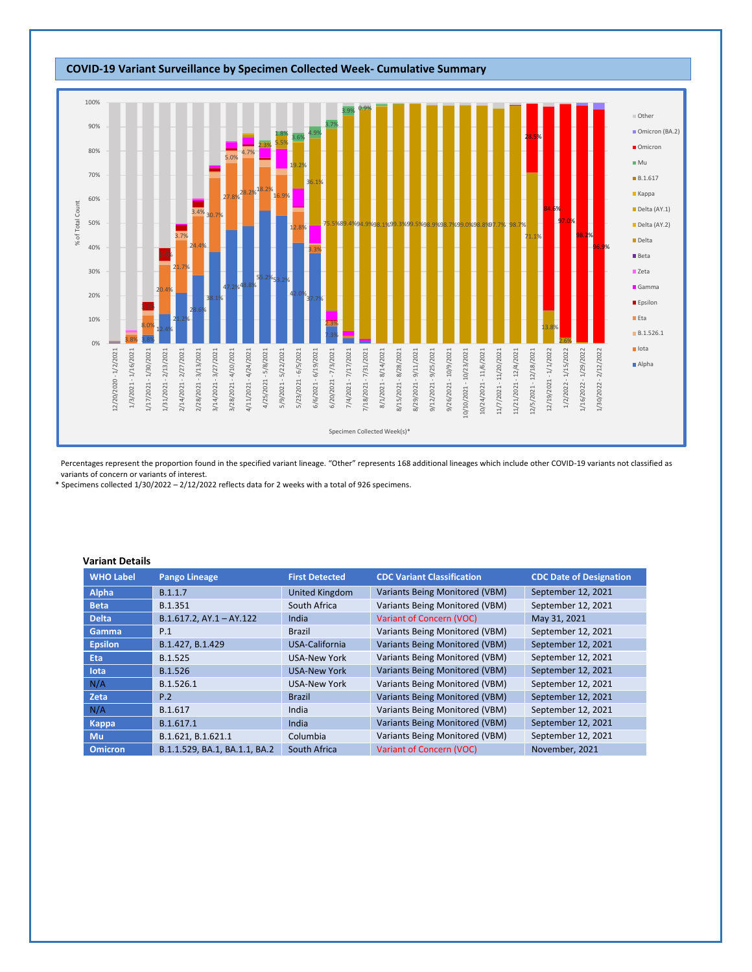

Percentages represent the proportion found in the specified variant lineage. "Other" represents 168 additional lineages which include other COVID-19 variants not classified as variants of concern or variants of interest.

\* Specimens collected 1/30/2022 – 2/12/2022 reflects data for 2 weeks with a total of 926 specimens.

## **Variant Details**

| <b>WHO Label</b> | <b>Pango Lineage</b>          | <b>First Detected</b> | <b>CDC Variant Classification</b>     | <b>CDC Date of Designation</b> |
|------------------|-------------------------------|-----------------------|---------------------------------------|--------------------------------|
| Alpha            | B.1.1.7                       | United Kingdom        | Variants Being Monitored (VBM)        | September 12, 2021             |
| <b>Beta</b>      | B.1.351                       | South Africa          | Variants Being Monitored (VBM)        | September 12, 2021             |
| <b>Delta</b>     | $B.1.617.2$ , AY.1 - AY.122   | India                 | Variant of Concern (VOC)              | May 31, 2021                   |
| Gamma            | P.1                           | <b>Brazil</b>         | Variants Being Monitored (VBM)        | September 12, 2021             |
| <b>Epsilon</b>   | B.1.427, B.1.429              | USA-California        | Variants Being Monitored (VBM)        | September 12, 2021             |
| <b>Eta</b>       | B.1.525                       | <b>USA-New York</b>   | Variants Being Monitored (VBM)        | September 12, 2021             |
| lota             | B.1.526                       | <b>USA-New York</b>   | Variants Being Monitored (VBM)        | September 12, 2021             |
| N/A              | B.1.526.1                     | <b>USA-New York</b>   | Variants Being Monitored (VBM)        | September 12, 2021             |
| Zeta             | P.2                           | <b>Brazil</b>         | <b>Variants Being Monitored (VBM)</b> | September 12, 2021             |
| N/A              | B.1.617                       | India                 | Variants Being Monitored (VBM)        | September 12, 2021             |
| Kappa            | B.1.617.1                     | India                 | <b>Variants Being Monitored (VBM)</b> | September 12, 2021             |
| Mu               | B.1.621, B.1.621.1            | Columbia              | Variants Being Monitored (VBM)        | September 12, 2021             |
| <b>Omicron</b>   | B.1.1.529, BA.1, BA.1.1, BA.2 | South Africa          | Variant of Concern (VOC)              | November, 2021                 |

## **COVID-19 Variant Surveillance by Specimen Collected Week- Cumulative Summary**